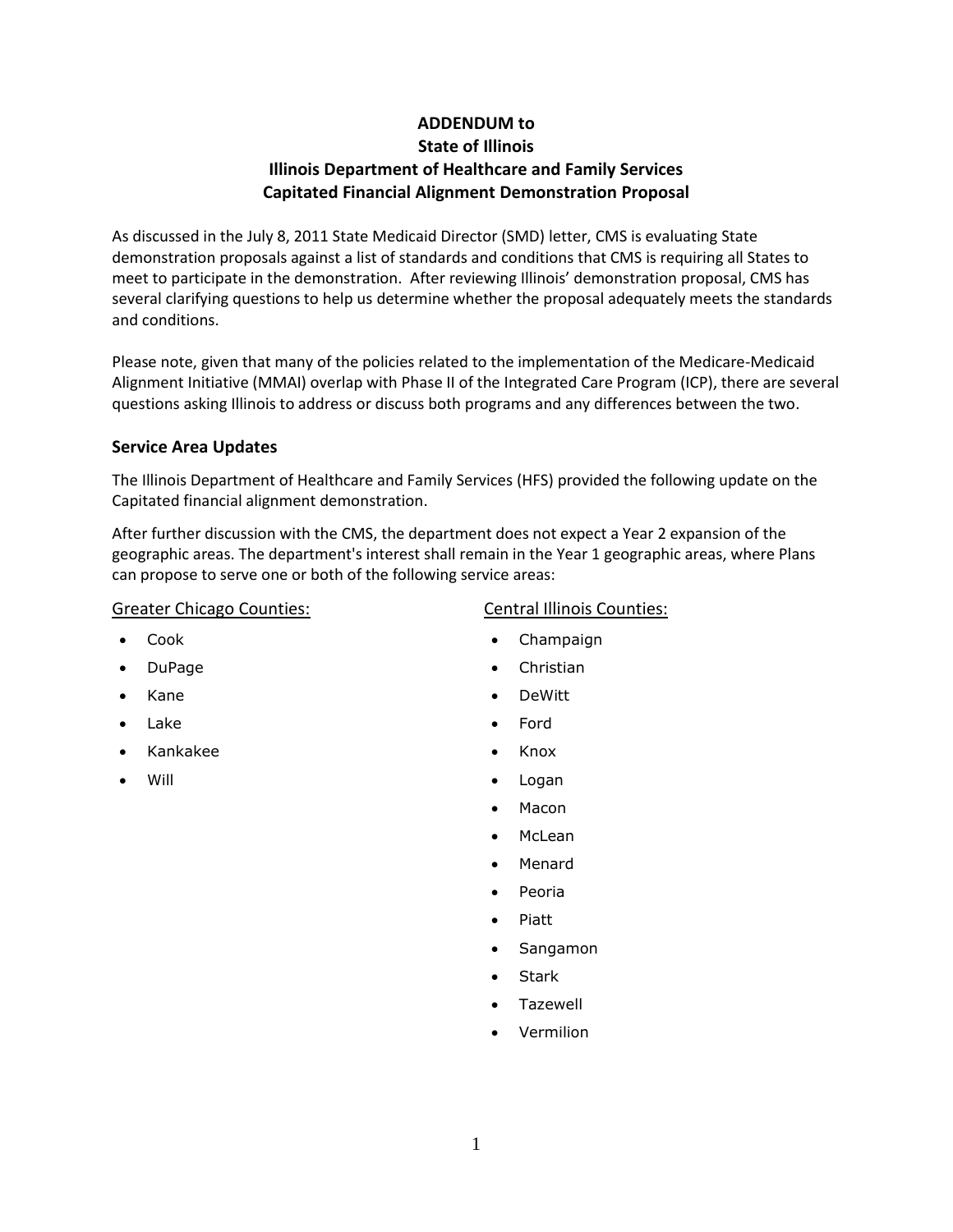# **ADDENDUM to State of Illinois Illinois Department of Healthcare and Family Services Capitated Financial Alignment Demonstration Proposal**

As discussed in the July 8, 2011 State Medicaid Director (SMD) letter, CMS is evaluating State demonstration proposals against a list of standards and conditions that CMS is requiring all States to meet to participate in the demonstration. After reviewing Illinois' demonstration proposal, CMS has several clarifying questions to help us determine whether the proposal adequately meets the standards and conditions.

Please note, given that many of the policies related to the implementation of the Medicare-Medicaid Alignment Initiative (MMAI) overlap with Phase II of the Integrated Care Program (ICP), there are several questions asking Illinois to address or discuss both programs and any differences between the two.

## **Service Area Updates**

The Illinois Department of Healthcare and Family Services (HFS) provided the following update on the Capitated financial alignment demonstration.

After further discussion with the CMS, the department does not expect a Year 2 expansion of the geographic areas. The department's interest shall remain in the Year 1 geographic areas, where Plans can propose to serve one or both of the following service areas:

### Greater Chicago Counties:

#### • Cook

- DuPage
- Kane
- Lake
- Kankakee
- Will

## Central Illinois Counties:

- Champaign
- Christian
- DeWitt
- Ford
- Knox
- Logan
- Macon
- McLean
- Menard
- Peoria
- Piatt
- Sangamon
- **Stark**
- Tazewell
- Vermilion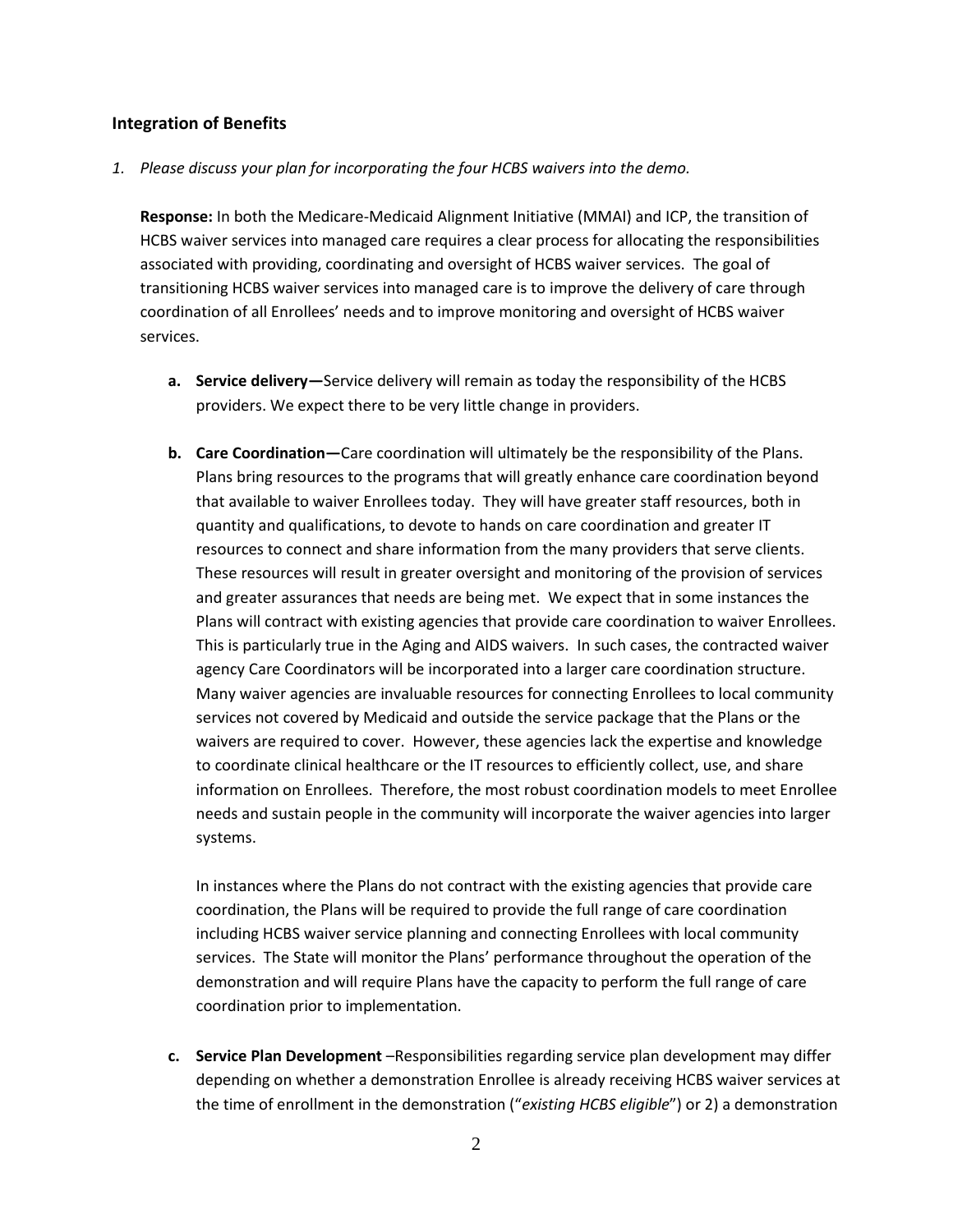#### **Integration of Benefits**

*1. Please discuss your plan for incorporating the four HCBS waivers into the demo.* 

**Response:** In both the Medicare-Medicaid Alignment Initiative (MMAI) and ICP, the transition of HCBS waiver services into managed care requires a clear process for allocating the responsibilities associated with providing, coordinating and oversight of HCBS waiver services. The goal of transitioning HCBS waiver services into managed care is to improve the delivery of care through coordination of all Enrollees' needs and to improve monitoring and oversight of HCBS waiver services.

- **a. Service delivery—**Service delivery will remain as today the responsibility of the HCBS providers. We expect there to be very little change in providers.
- **b. Care Coordination—**Care coordination will ultimately be the responsibility of the Plans. Plans bring resources to the programs that will greatly enhance care coordination beyond that available to waiver Enrollees today. They will have greater staff resources, both in quantity and qualifications, to devote to hands on care coordination and greater IT resources to connect and share information from the many providers that serve clients. These resources will result in greater oversight and monitoring of the provision of services and greater assurances that needs are being met. We expect that in some instances the Plans will contract with existing agencies that provide care coordination to waiver Enrollees. This is particularly true in the Aging and AIDS waivers. In such cases, the contracted waiver agency Care Coordinators will be incorporated into a larger care coordination structure. Many waiver agencies are invaluable resources for connecting Enrollees to local community services not covered by Medicaid and outside the service package that the Plans or the waivers are required to cover. However, these agencies lack the expertise and knowledge to coordinate clinical healthcare or the IT resources to efficiently collect, use, and share information on Enrollees. Therefore, the most robust coordination models to meet Enrollee needs and sustain people in the community will incorporate the waiver agencies into larger systems.

In instances where the Plans do not contract with the existing agencies that provide care coordination, the Plans will be required to provide the full range of care coordination including HCBS waiver service planning and connecting Enrollees with local community services. The State will monitor the Plans' performance throughout the operation of the demonstration and will require Plans have the capacity to perform the full range of care coordination prior to implementation.

**c. Service Plan Development** –Responsibilities regarding service plan development may differ depending on whether a demonstration Enrollee is already receiving HCBS waiver services at the time of enrollment in the demonstration ("*existing HCBS eligible*") or 2) a demonstration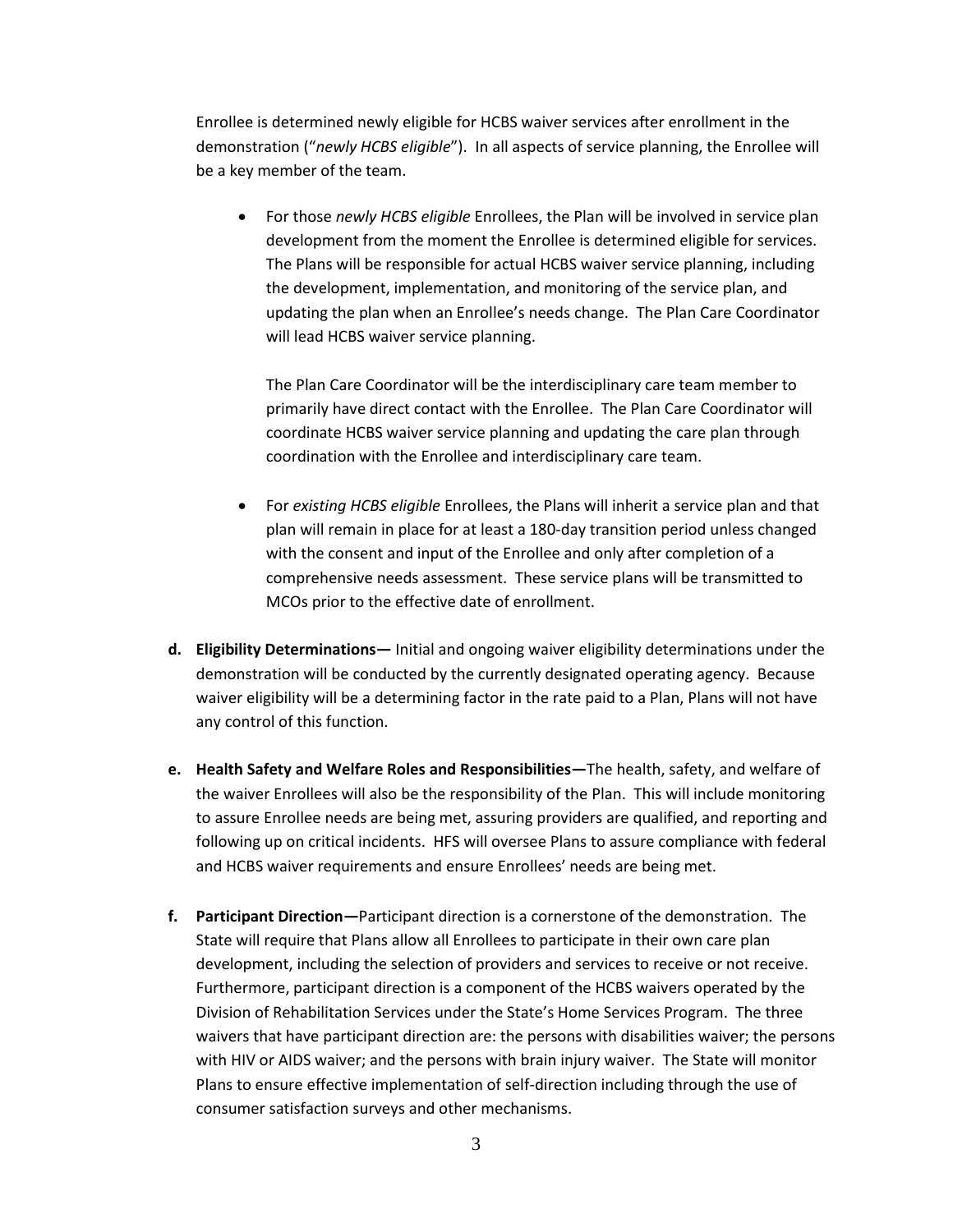Enrollee is determined newly eligible for HCBS waiver services after enrollment in the demonstration ("*newly HCBS eligible*"). In all aspects of service planning, the Enrollee will be a key member of the team.

 For those *newly HCBS eligible* Enrollees, the Plan will be involved in service plan development from the moment the Enrollee is determined eligible for services. The Plans will be responsible for actual HCBS waiver service planning, including the development, implementation, and monitoring of the service plan, and updating the plan when an Enrollee's needs change. The Plan Care Coordinator will lead HCBS waiver service planning.

The Plan Care Coordinator will be the interdisciplinary care team member to primarily have direct contact with the Enrollee. The Plan Care Coordinator will coordinate HCBS waiver service planning and updating the care plan through coordination with the Enrollee and interdisciplinary care team.

- For *existing HCBS eligible* Enrollees, the Plans will inherit a service plan and that plan will remain in place for at least a 180-day transition period unless changed with the consent and input of the Enrollee and only after completion of a comprehensive needs assessment. These service plans will be transmitted to MCOs prior to the effective date of enrollment.
- **d. Eligibility Determinations—** Initial and ongoing waiver eligibility determinations under the demonstration will be conducted by the currently designated operating agency. Because waiver eligibility will be a determining factor in the rate paid to a Plan, Plans will not have any control of this function.
- **e. Health Safety and Welfare Roles and Responsibilities—**The health, safety, and welfare of the waiver Enrollees will also be the responsibility of the Plan. This will include monitoring to assure Enrollee needs are being met, assuring providers are qualified, and reporting and following up on critical incidents. HFS will oversee Plans to assure compliance with federal and HCBS waiver requirements and ensure Enrollees' needs are being met.
- **f. Participant Direction—**Participant direction is a cornerstone of the demonstration. The State will require that Plans allow all Enrollees to participate in their own care plan development, including the selection of providers and services to receive or not receive. Furthermore, participant direction is a component of the HCBS waivers operated by the Division of Rehabilitation Services under the State's Home Services Program. The three waivers that have participant direction are: the persons with disabilities waiver; the persons with HIV or AIDS waiver; and the persons with brain injury waiver. The State will monitor Plans to ensure effective implementation of self-direction including through the use of consumer satisfaction surveys and other mechanisms.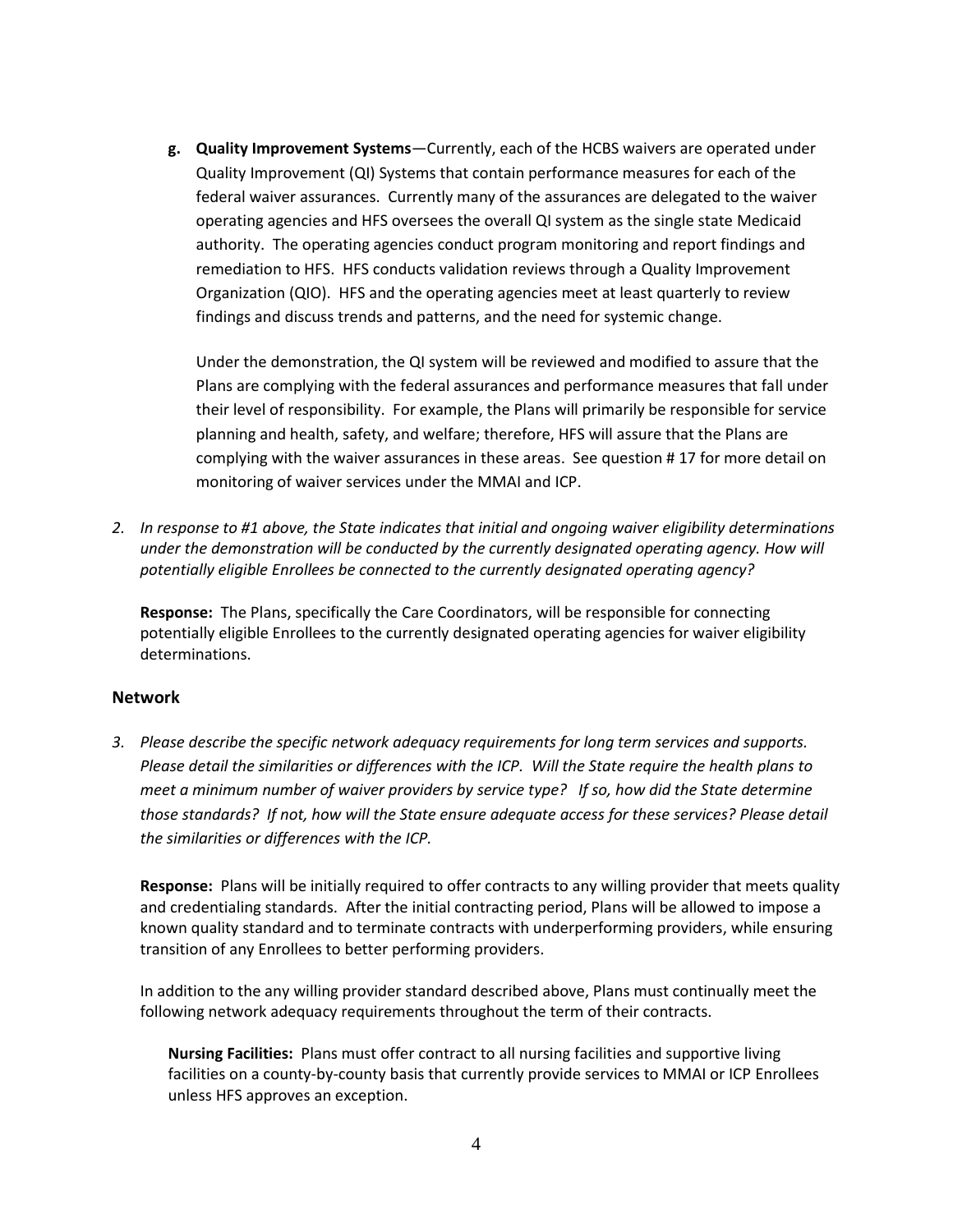**g. Quality Improvement Systems**—Currently, each of the HCBS waivers are operated under Quality Improvement (QI) Systems that contain performance measures for each of the federal waiver assurances. Currently many of the assurances are delegated to the waiver operating agencies and HFS oversees the overall QI system as the single state Medicaid authority. The operating agencies conduct program monitoring and report findings and remediation to HFS. HFS conducts validation reviews through a Quality Improvement Organization (QIO). HFS and the operating agencies meet at least quarterly to review findings and discuss trends and patterns, and the need for systemic change.

Under the demonstration, the QI system will be reviewed and modified to assure that the Plans are complying with the federal assurances and performance measures that fall under their level of responsibility. For example, the Plans will primarily be responsible for service planning and health, safety, and welfare; therefore, HFS will assure that the Plans are complying with the waiver assurances in these areas. See question # 17 for more detail on monitoring of waiver services under the MMAI and ICP.

*2. In response to #1 above, the State indicates that initial and ongoing waiver eligibility determinations under the demonstration will be conducted by the currently designated operating agency. How will potentially eligible Enrollees be connected to the currently designated operating agency?*

**Response:** The Plans, specifically the Care Coordinators, will be responsible for connecting potentially eligible Enrollees to the currently designated operating agencies for waiver eligibility determinations.

#### **Network**

*3. Please describe the specific network adequacy requirements for long term services and supports. Please detail the similarities or differences with the ICP. Will the State require the health plans to meet a minimum number of waiver providers by service type? If so, how did the State determine those standards? If not, how will the State ensure adequate access for these services? Please detail the similarities or differences with the ICP.*

**Response:** Plans will be initially required to offer contracts to any willing provider that meets quality and credentialing standards. After the initial contracting period, Plans will be allowed to impose a known quality standard and to terminate contracts with underperforming providers, while ensuring transition of any Enrollees to better performing providers.

In addition to the any willing provider standard described above, Plans must continually meet the following network adequacy requirements throughout the term of their contracts.

**Nursing Facilities:** Plans must offer contract to all nursing facilities and supportive living facilities on a county-by-county basis that currently provide services to MMAI or ICP Enrollees unless HFS approves an exception.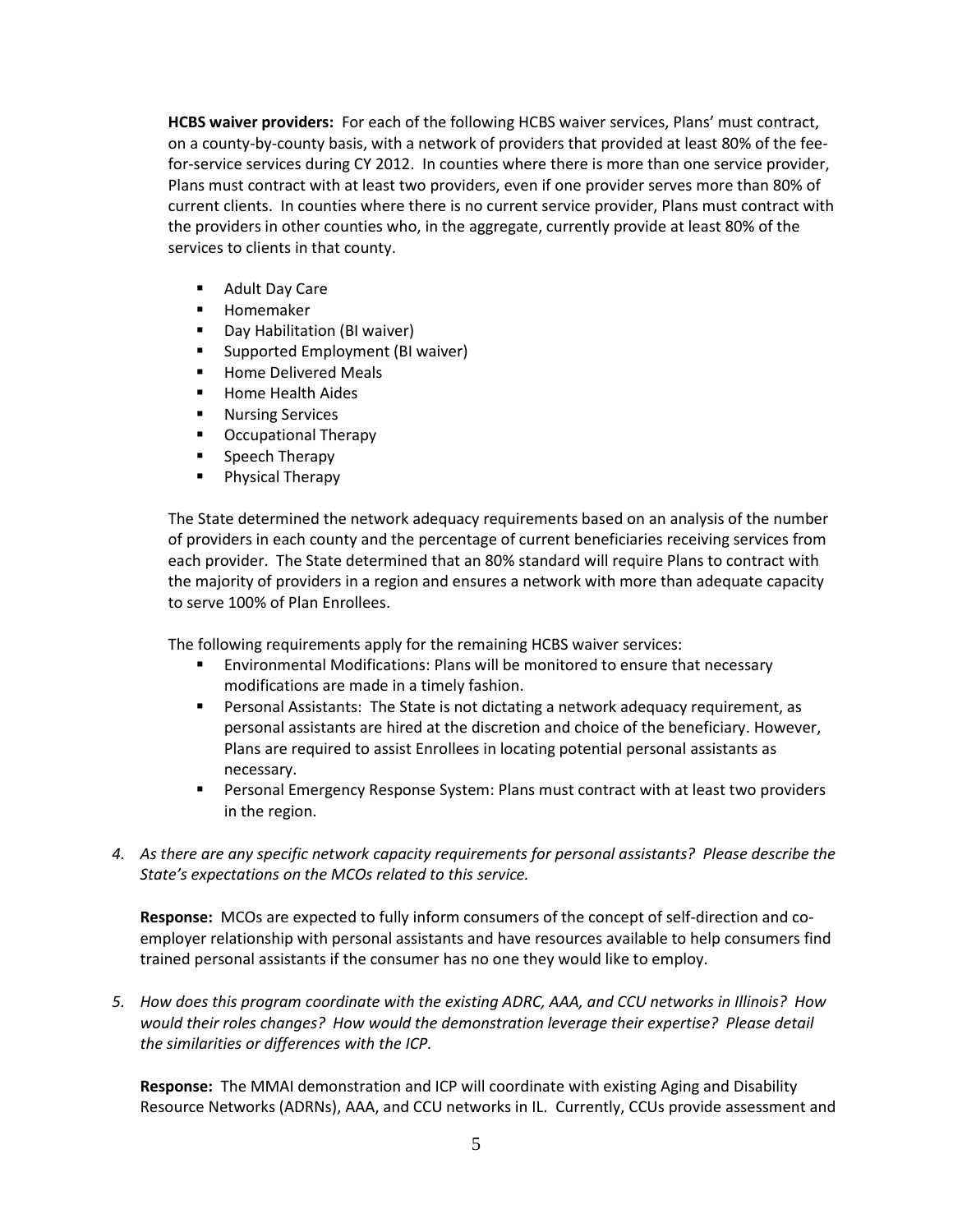**HCBS waiver providers:** For each of the following HCBS waiver services, Plans' must contract, on a county-by-county basis, with a network of providers that provided at least 80% of the feefor-service services during CY 2012. In counties where there is more than one service provider, Plans must contract with at least two providers, even if one provider serves more than 80% of current clients. In counties where there is no current service provider, Plans must contract with the providers in other counties who, in the aggregate, currently provide at least 80% of the services to clients in that county.

- **Adult Day Care**
- **Homemaker**
- **Day Habilitation (BI waiver)**
- **Supported Employment (BI waiver)**
- **Home Delivered Meals**
- **Home Health Aides**
- **Nursing Services**
- **•** Occupational Therapy
- Speech Therapy
- **Physical Therapy**

The State determined the network adequacy requirements based on an analysis of the number of providers in each county and the percentage of current beneficiaries receiving services from each provider. The State determined that an 80% standard will require Plans to contract with the majority of providers in a region and ensures a network with more than adequate capacity to serve 100% of Plan Enrollees.

The following requirements apply for the remaining HCBS waiver services:

- Environmental Modifications: Plans will be monitored to ensure that necessary modifications are made in a timely fashion.
- Personal Assistants: The State is not dictating a network adequacy requirement, as personal assistants are hired at the discretion and choice of the beneficiary. However, Plans are required to assist Enrollees in locating potential personal assistants as necessary.
- Personal Emergency Response System: Plans must contract with at least two providers in the region.
- *4. As there are any specific network capacity requirements for personal assistants? Please describe the State's expectations on the MCOs related to this service.*

**Response:** MCOs are expected to fully inform consumers of the concept of self-direction and coemployer relationship with personal assistants and have resources available to help consumers find trained personal assistants if the consumer has no one they would like to employ.

*5. How does this program coordinate with the existing ADRC, AAA, and CCU networks in Illinois? How would their roles changes? How would the demonstration leverage their expertise? Please detail the similarities or differences with the ICP.*

**Response:** The MMAI demonstration and ICP will coordinate with existing Aging and Disability Resource Networks (ADRNs), AAA, and CCU networks in IL. Currently, CCUs provide assessment and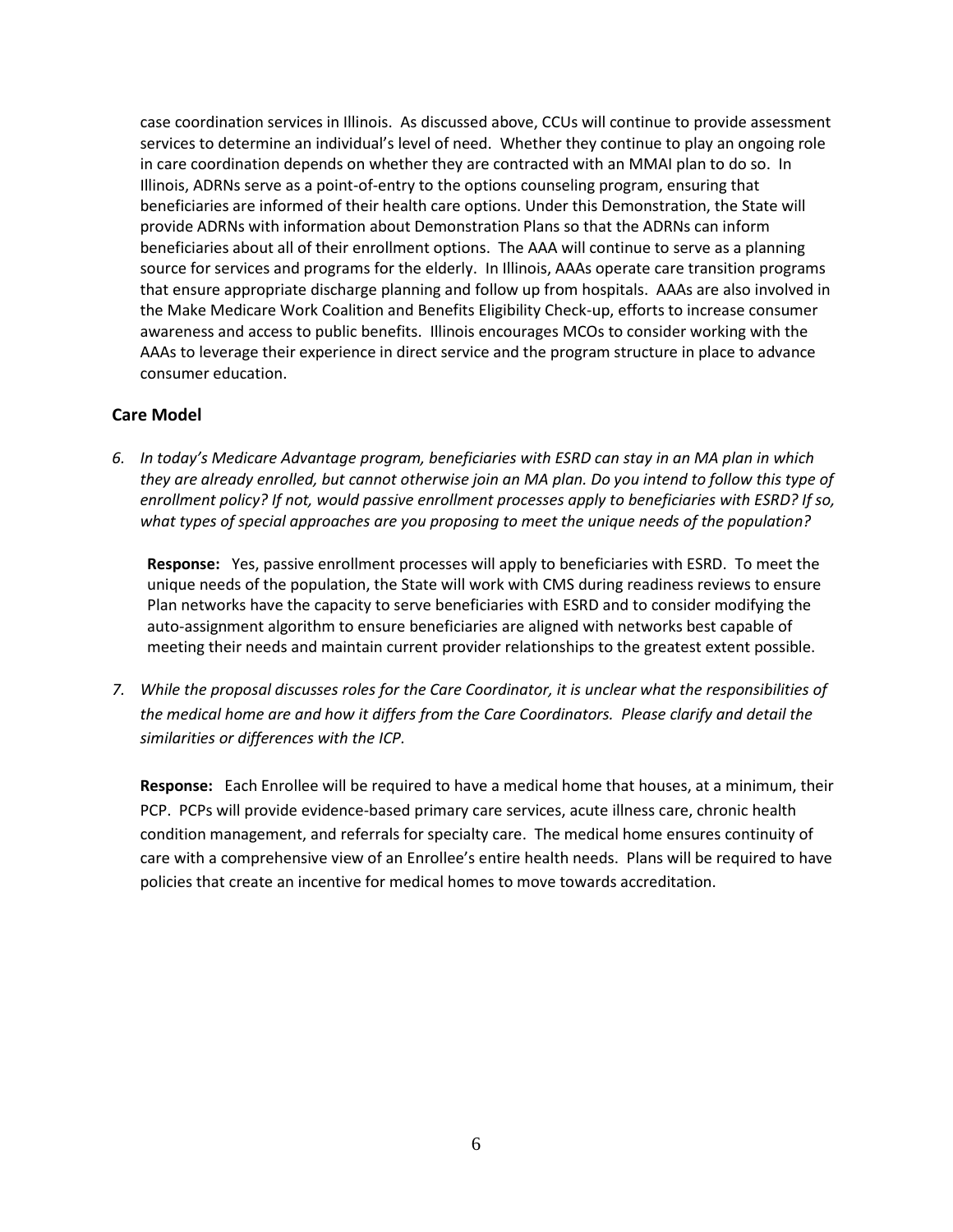case coordination services in Illinois. As discussed above, CCUs will continue to provide assessment services to determine an individual's level of need. Whether they continue to play an ongoing role in care coordination depends on whether they are contracted with an MMAI plan to do so. In Illinois, ADRNs serve as a point-of-entry to the options counseling program, ensuring that beneficiaries are informed of their health care options. Under this Demonstration, the State will provide ADRNs with information about Demonstration Plans so that the ADRNs can inform beneficiaries about all of their enrollment options. The AAA will continue to serve as a planning source for services and programs for the elderly. In Illinois, AAAs operate care transition programs that ensure appropriate discharge planning and follow up from hospitals. AAAs are also involved in the Make Medicare Work Coalition and Benefits Eligibility Check-up, efforts to increase consumer awareness and access to public benefits. Illinois encourages MCOs to consider working with the AAAs to leverage their experience in direct service and the program structure in place to advance consumer education.

### **Care Model**

*6. In today's Medicare Advantage program, beneficiaries with ESRD can stay in an MA plan in which they are already enrolled, but cannot otherwise join an MA plan. Do you intend to follow this type of enrollment policy? If not, would passive enrollment processes apply to beneficiaries with ESRD? If so, what types of special approaches are you proposing to meet the unique needs of the population?*

**Response:** Yes, passive enrollment processes will apply to beneficiaries with ESRD. To meet the unique needs of the population, the State will work with CMS during readiness reviews to ensure Plan networks have the capacity to serve beneficiaries with ESRD and to consider modifying the auto-assignment algorithm to ensure beneficiaries are aligned with networks best capable of meeting their needs and maintain current provider relationships to the greatest extent possible.

*7. While the proposal discusses roles for the Care Coordinator, it is unclear what the responsibilities of the medical home are and how it differs from the Care Coordinators. Please clarify and detail the similarities or differences with the ICP.*

**Response:** Each Enrollee will be required to have a medical home that houses, at a minimum, their PCP. PCPs will provide evidence-based primary care services, acute illness care, chronic health condition management, and referrals for specialty care. The medical home ensures continuity of care with a comprehensive view of an Enrollee's entire health needs. Plans will be required to have policies that create an incentive for medical homes to move towards accreditation.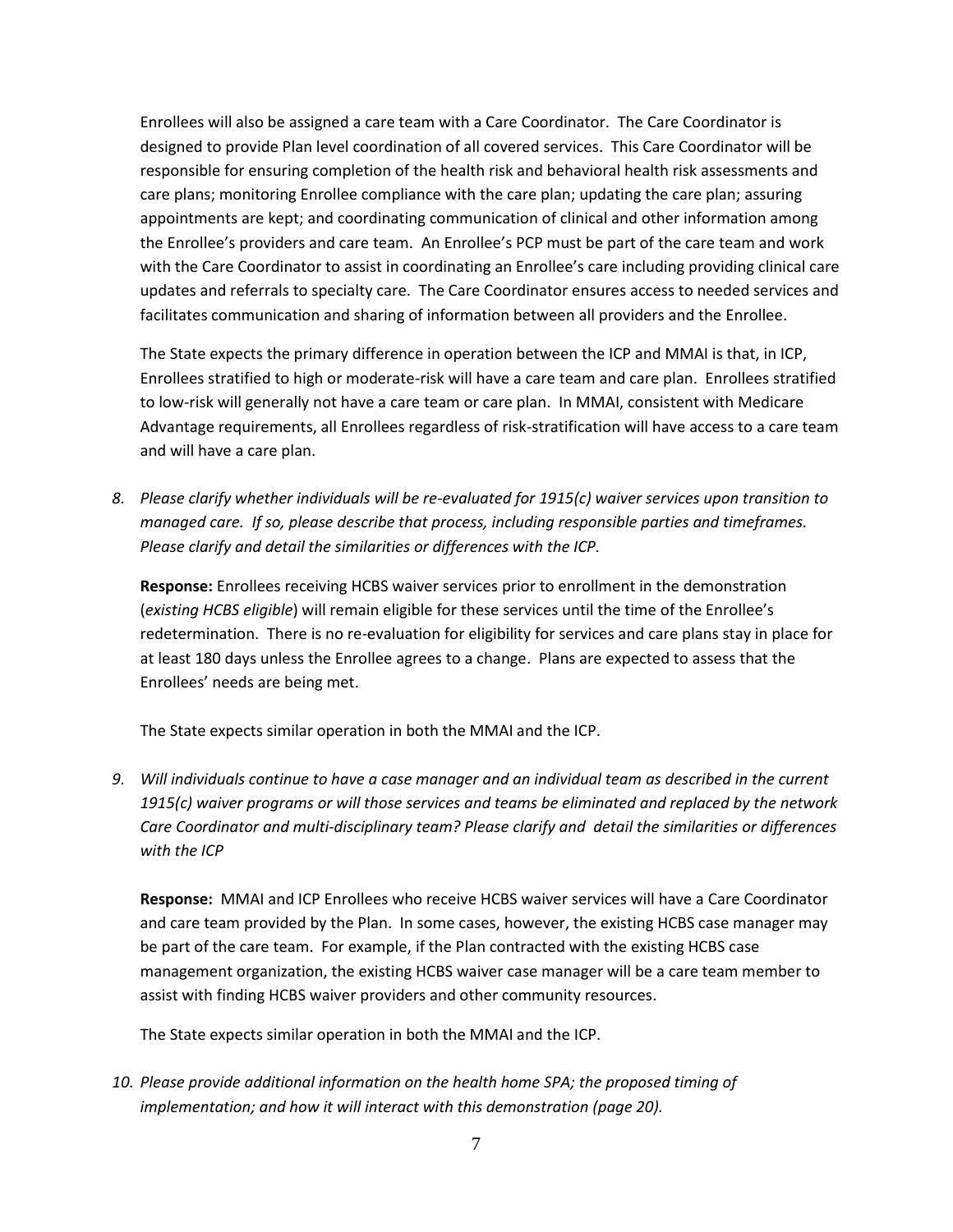Enrollees will also be assigned a care team with a Care Coordinator. The Care Coordinator is designed to provide Plan level coordination of all covered services. This Care Coordinator will be responsible for ensuring completion of the health risk and behavioral health risk assessments and care plans; monitoring Enrollee compliance with the care plan; updating the care plan; assuring appointments are kept; and coordinating communication of clinical and other information among the Enrollee's providers and care team. An Enrollee's PCP must be part of the care team and work with the Care Coordinator to assist in coordinating an Enrollee's care including providing clinical care updates and referrals to specialty care. The Care Coordinator ensures access to needed services and facilitates communication and sharing of information between all providers and the Enrollee.

The State expects the primary difference in operation between the ICP and MMAI is that, in ICP, Enrollees stratified to high or moderate-risk will have a care team and care plan. Enrollees stratified to low-risk will generally not have a care team or care plan. In MMAI, consistent with Medicare Advantage requirements, all Enrollees regardless of risk-stratification will have access to a care team and will have a care plan.

*8. Please clarify whether individuals will be re-evaluated for 1915(c) waiver services upon transition to managed care. If so, please describe that process, including responsible parties and timeframes. Please clarify and detail the similarities or differences with the ICP.*

**Response:** Enrollees receiving HCBS waiver services prior to enrollment in the demonstration (*existing HCBS eligible*) will remain eligible for these services until the time of the Enrollee's redetermination. There is no re-evaluation for eligibility for services and care plans stay in place for at least 180 days unless the Enrollee agrees to a change. Plans are expected to assess that the Enrollees' needs are being met.

The State expects similar operation in both the MMAI and the ICP.

*9. Will individuals continue to have a case manager and an individual team as described in the current 1915(c) waiver programs or will those services and teams be eliminated and replaced by the network Care Coordinator and multi-disciplinary team? Please clarify and detail the similarities or differences with the ICP*

**Response:** MMAI and ICP Enrollees who receive HCBS waiver services will have a Care Coordinator and care team provided by the Plan. In some cases, however, the existing HCBS case manager may be part of the care team. For example, if the Plan contracted with the existing HCBS case management organization, the existing HCBS waiver case manager will be a care team member to assist with finding HCBS waiver providers and other community resources.

The State expects similar operation in both the MMAI and the ICP.

*10. Please provide additional information on the health home SPA; the proposed timing of implementation; and how it will interact with this demonstration (page 20).*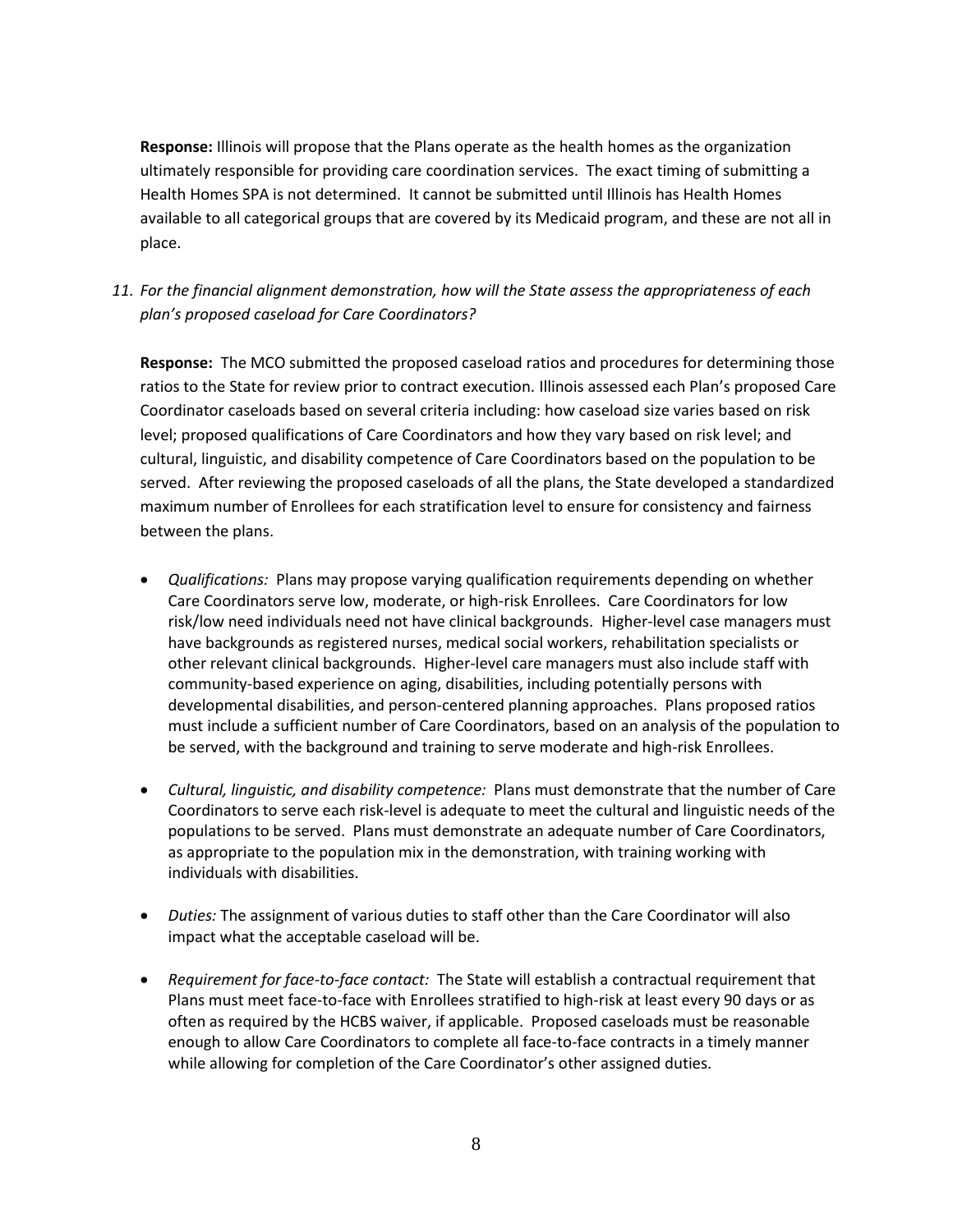**Response:** Illinois will propose that the Plans operate as the health homes as the organization ultimately responsible for providing care coordination services. The exact timing of submitting a Health Homes SPA is not determined. It cannot be submitted until Illinois has Health Homes available to all categorical groups that are covered by its Medicaid program, and these are not all in place.

*11. For the financial alignment demonstration, how will the State assess the appropriateness of each plan's proposed caseload for Care Coordinators?* 

**Response:** The MCO submitted the proposed caseload ratios and procedures for determining those ratios to the State for review prior to contract execution. Illinois assessed each Plan's proposed Care Coordinator caseloads based on several criteria including: how caseload size varies based on risk level; proposed qualifications of Care Coordinators and how they vary based on risk level; and cultural, linguistic, and disability competence of Care Coordinators based on the population to be served. After reviewing the proposed caseloads of all the plans, the State developed a standardized maximum number of Enrollees for each stratification level to ensure for consistency and fairness between the plans.

- *Qualifications:* Plans may propose varying qualification requirements depending on whether Care Coordinators serve low, moderate, or high-risk Enrollees. Care Coordinators for low risk/low need individuals need not have clinical backgrounds. Higher-level case managers must have backgrounds as registered nurses, medical social workers, rehabilitation specialists or other relevant clinical backgrounds. Higher-level care managers must also include staff with community-based experience on aging, disabilities, including potentially persons with developmental disabilities, and person-centered planning approaches. Plans proposed ratios must include a sufficient number of Care Coordinators, based on an analysis of the population to be served, with the background and training to serve moderate and high-risk Enrollees.
- *Cultural, linguistic, and disability competence:* Plans must demonstrate that the number of Care Coordinators to serve each risk-level is adequate to meet the cultural and linguistic needs of the populations to be served. Plans must demonstrate an adequate number of Care Coordinators, as appropriate to the population mix in the demonstration, with training working with individuals with disabilities.
- *Duties:* The assignment of various duties to staff other than the Care Coordinator will also impact what the acceptable caseload will be.
- *Requirement for face-to-face contact:* The State will establish a contractual requirement that Plans must meet face-to-face with Enrollees stratified to high-risk at least every 90 days or as often as required by the HCBS waiver, if applicable. Proposed caseloads must be reasonable enough to allow Care Coordinators to complete all face-to-face contracts in a timely manner while allowing for completion of the Care Coordinator's other assigned duties.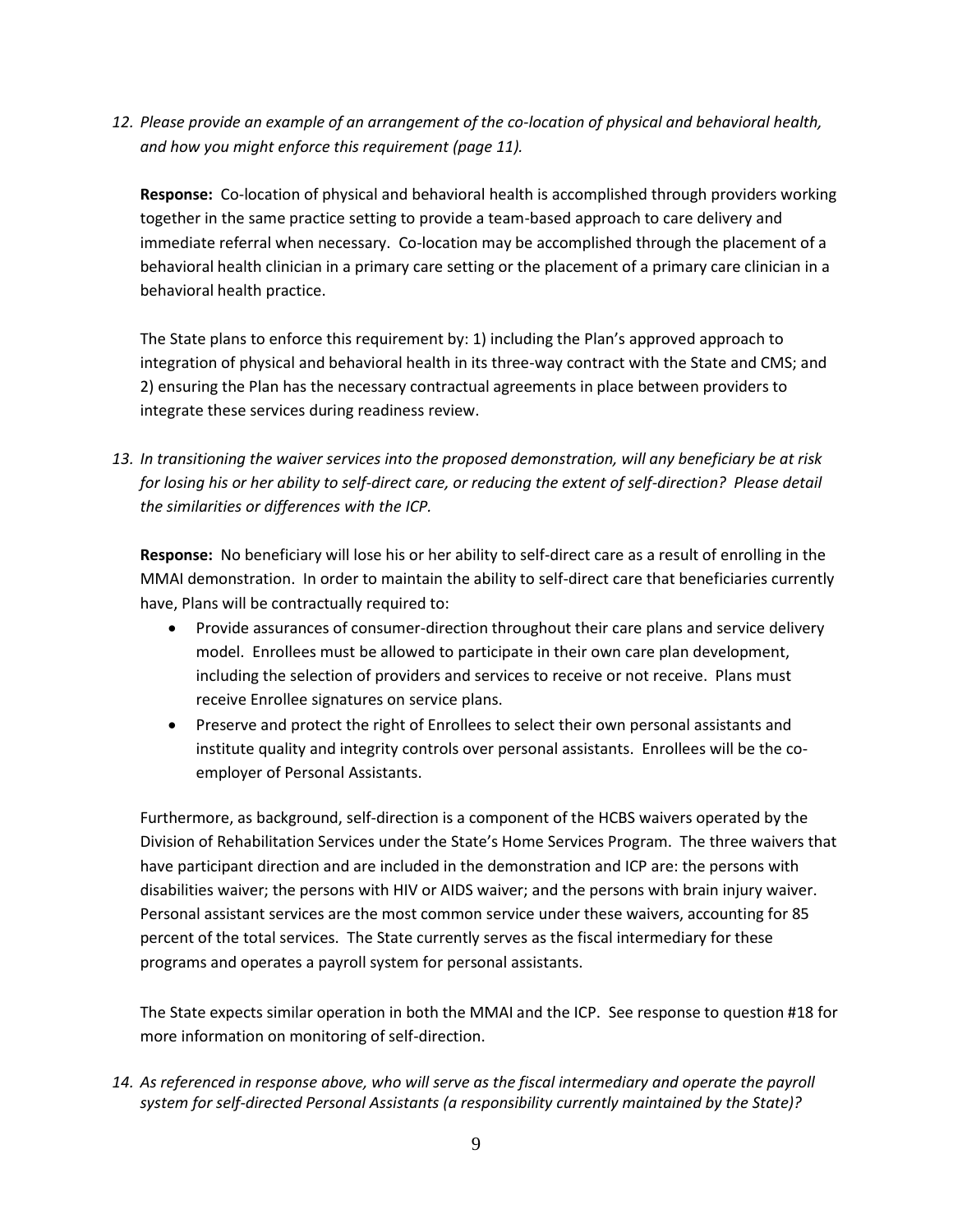*12. Please provide an example of an arrangement of the co-location of physical and behavioral health, and how you might enforce this requirement (page 11).*

**Response:** Co-location of physical and behavioral health is accomplished through providers working together in the same practice setting to provide a team-based approach to care delivery and immediate referral when necessary. Co-location may be accomplished through the placement of a behavioral health clinician in a primary care setting or the placement of a primary care clinician in a behavioral health practice.

The State plans to enforce this requirement by: 1) including the Plan's approved approach to integration of physical and behavioral health in its three-way contract with the State and CMS; and 2) ensuring the Plan has the necessary contractual agreements in place between providers to integrate these services during readiness review.

*13. In transitioning the waiver services into the proposed demonstration, will any beneficiary be at risk for losing his or her ability to self-direct care, or reducing the extent of self-direction? Please detail the similarities or differences with the ICP.*

**Response:** No beneficiary will lose his or her ability to self-direct care as a result of enrolling in the MMAI demonstration. In order to maintain the ability to self-direct care that beneficiaries currently have, Plans will be contractually required to:

- Provide assurances of consumer-direction throughout their care plans and service delivery model. Enrollees must be allowed to participate in their own care plan development, including the selection of providers and services to receive or not receive. Plans must receive Enrollee signatures on service plans.
- Preserve and protect the right of Enrollees to select their own personal assistants and institute quality and integrity controls over personal assistants. Enrollees will be the coemployer of Personal Assistants.

Furthermore, as background, self-direction is a component of the HCBS waivers operated by the Division of Rehabilitation Services under the State's Home Services Program. The three waivers that have participant direction and are included in the demonstration and ICP are: the persons with disabilities waiver; the persons with HIV or AIDS waiver; and the persons with brain injury waiver. Personal assistant services are the most common service under these waivers, accounting for 85 percent of the total services. The State currently serves as the fiscal intermediary for these programs and operates a payroll system for personal assistants.

The State expects similar operation in both the MMAI and the ICP. See response to question #18 for more information on monitoring of self-direction.

*14. As referenced in response above, who will serve as the fiscal intermediary and operate the payroll system for self-directed Personal Assistants (a responsibility currently maintained by the State)?*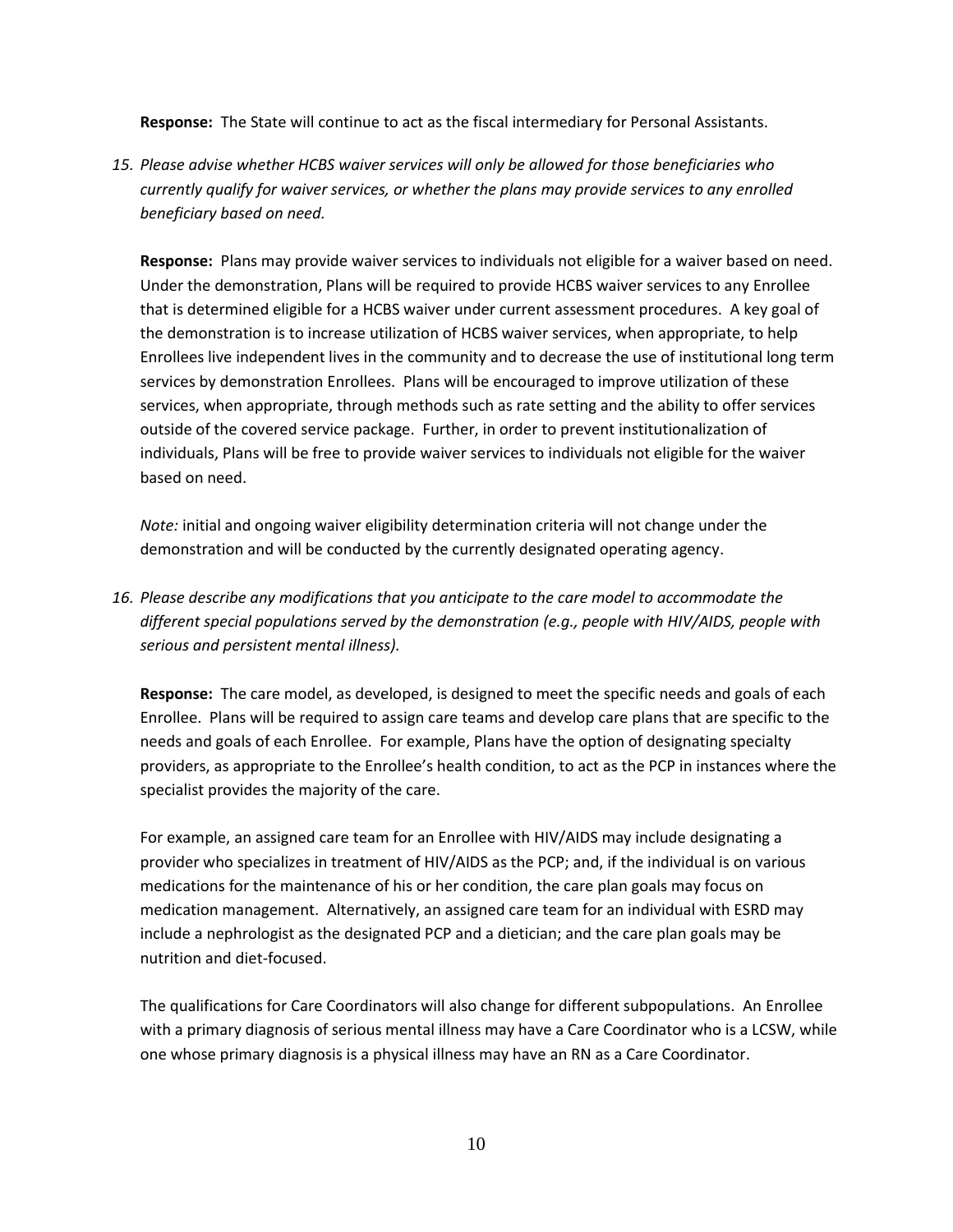**Response:** The State will continue to act as the fiscal intermediary for Personal Assistants.

*15. Please advise whether HCBS waiver services will only be allowed for those beneficiaries who currently qualify for waiver services, or whether the plans may provide services to any enrolled beneficiary based on need.* 

**Response:** Plans may provide waiver services to individuals not eligible for a waiver based on need. Under the demonstration, Plans will be required to provide HCBS waiver services to any Enrollee that is determined eligible for a HCBS waiver under current assessment procedures. A key goal of the demonstration is to increase utilization of HCBS waiver services, when appropriate, to help Enrollees live independent lives in the community and to decrease the use of institutional long term services by demonstration Enrollees. Plans will be encouraged to improve utilization of these services, when appropriate, through methods such as rate setting and the ability to offer services outside of the covered service package. Further, in order to prevent institutionalization of individuals, Plans will be free to provide waiver services to individuals not eligible for the waiver based on need.

*Note:* initial and ongoing waiver eligibility determination criteria will not change under the demonstration and will be conducted by the currently designated operating agency.

*16. Please describe any modifications that you anticipate to the care model to accommodate the different special populations served by the demonstration (e.g., people with HIV/AIDS, people with serious and persistent mental illness).* 

**Response:** The care model, as developed, is designed to meet the specific needs and goals of each Enrollee. Plans will be required to assign care teams and develop care plans that are specific to the needs and goals of each Enrollee. For example, Plans have the option of designating specialty providers, as appropriate to the Enrollee's health condition, to act as the PCP in instances where the specialist provides the majority of the care.

For example, an assigned care team for an Enrollee with HIV/AIDS may include designating a provider who specializes in treatment of HIV/AIDS as the PCP; and, if the individual is on various medications for the maintenance of his or her condition, the care plan goals may focus on medication management. Alternatively, an assigned care team for an individual with ESRD may include a nephrologist as the designated PCP and a dietician; and the care plan goals may be nutrition and diet-focused.

The qualifications for Care Coordinators will also change for different subpopulations. An Enrollee with a primary diagnosis of serious mental illness may have a Care Coordinator who is a LCSW, while one whose primary diagnosis is a physical illness may have an RN as a Care Coordinator.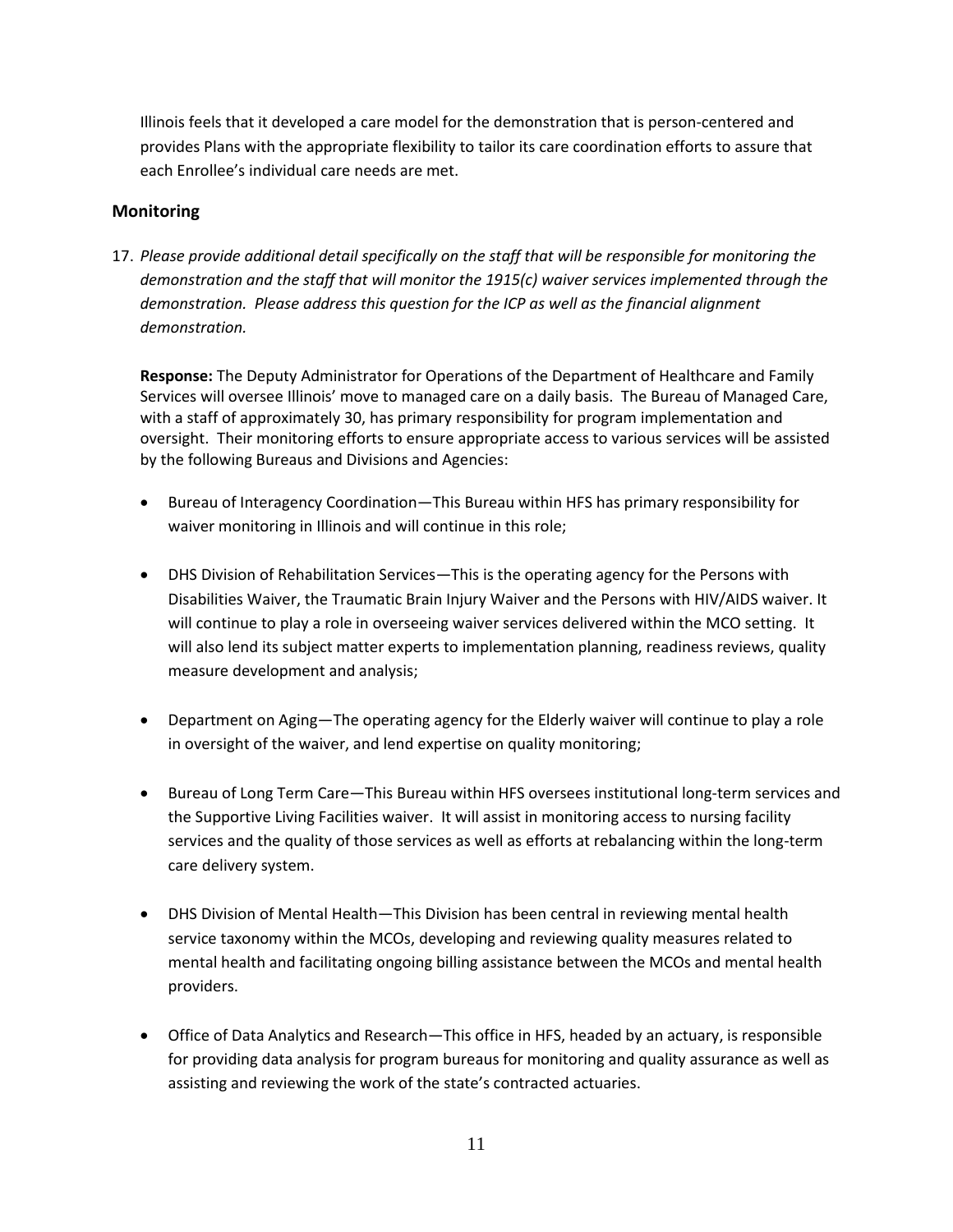Illinois feels that it developed a care model for the demonstration that is person-centered and provides Plans with the appropriate flexibility to tailor its care coordination efforts to assure that each Enrollee's individual care needs are met.

# **Monitoring**

17. *Please provide additional detail specifically on the staff that will be responsible for monitoring the demonstration and the staff that will monitor the 1915(c) waiver services implemented through the demonstration. Please address this question for the ICP as well as the financial alignment demonstration.*

**Response:** The Deputy Administrator for Operations of the Department of Healthcare and Family Services will oversee Illinois' move to managed care on a daily basis. The Bureau of Managed Care, with a staff of approximately 30, has primary responsibility for program implementation and oversight. Their monitoring efforts to ensure appropriate access to various services will be assisted by the following Bureaus and Divisions and Agencies:

- Bureau of Interagency Coordination—This Bureau within HFS has primary responsibility for waiver monitoring in Illinois and will continue in this role;
- DHS Division of Rehabilitation Services—This is the operating agency for the Persons with Disabilities Waiver, the Traumatic Brain Injury Waiver and the Persons with HIV/AIDS waiver. It will continue to play a role in overseeing waiver services delivered within the MCO setting. It will also lend its subject matter experts to implementation planning, readiness reviews, quality measure development and analysis;
- Department on Aging—The operating agency for the Elderly waiver will continue to play a role in oversight of the waiver, and lend expertise on quality monitoring;
- Bureau of Long Term Care—This Bureau within HFS oversees institutional long-term services and the Supportive Living Facilities waiver. It will assist in monitoring access to nursing facility services and the quality of those services as well as efforts at rebalancing within the long-term care delivery system.
- DHS Division of Mental Health—This Division has been central in reviewing mental health service taxonomy within the MCOs, developing and reviewing quality measures related to mental health and facilitating ongoing billing assistance between the MCOs and mental health providers.
- Office of Data Analytics and Research—This office in HFS, headed by an actuary, is responsible for providing data analysis for program bureaus for monitoring and quality assurance as well as assisting and reviewing the work of the state's contracted actuaries.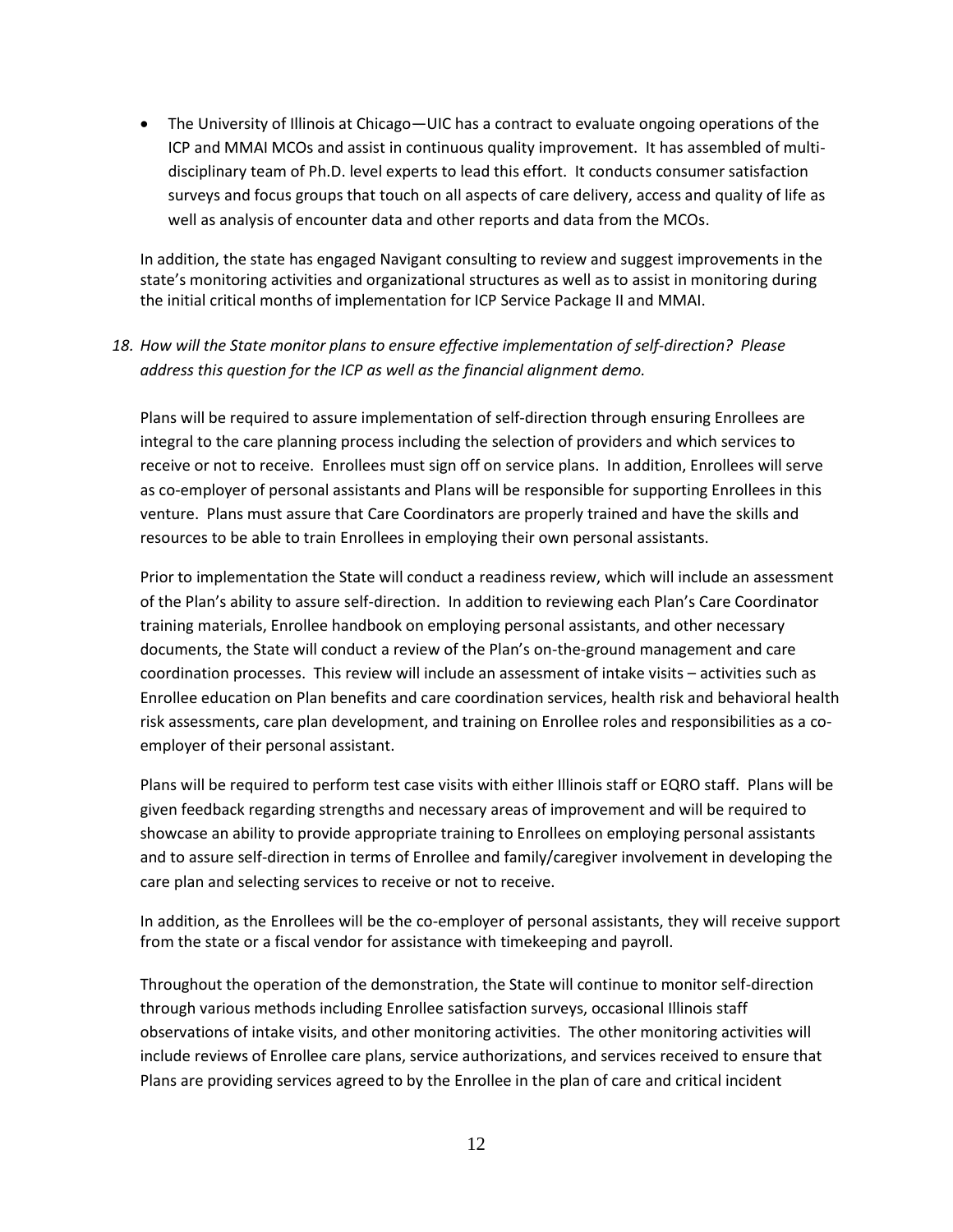The University of Illinois at Chicago—UIC has a contract to evaluate ongoing operations of the ICP and MMAI MCOs and assist in continuous quality improvement. It has assembled of multidisciplinary team of Ph.D. level experts to lead this effort. It conducts consumer satisfaction surveys and focus groups that touch on all aspects of care delivery, access and quality of life as well as analysis of encounter data and other reports and data from the MCOs.

In addition, the state has engaged Navigant consulting to review and suggest improvements in the state's monitoring activities and organizational structures as well as to assist in monitoring during the initial critical months of implementation for ICP Service Package II and MMAI.

# *18. How will the State monitor plans to ensure effective implementation of self-direction? Please address this question for the ICP as well as the financial alignment demo.*

Plans will be required to assure implementation of self-direction through ensuring Enrollees are integral to the care planning process including the selection of providers and which services to receive or not to receive. Enrollees must sign off on service plans. In addition, Enrollees will serve as co-employer of personal assistants and Plans will be responsible for supporting Enrollees in this venture. Plans must assure that Care Coordinators are properly trained and have the skills and resources to be able to train Enrollees in employing their own personal assistants.

Prior to implementation the State will conduct a readiness review, which will include an assessment of the Plan's ability to assure self-direction. In addition to reviewing each Plan's Care Coordinator training materials, Enrollee handbook on employing personal assistants, and other necessary documents, the State will conduct a review of the Plan's on-the-ground management and care coordination processes. This review will include an assessment of intake visits – activities such as Enrollee education on Plan benefits and care coordination services, health risk and behavioral health risk assessments, care plan development, and training on Enrollee roles and responsibilities as a coemployer of their personal assistant.

Plans will be required to perform test case visits with either Illinois staff or EQRO staff. Plans will be given feedback regarding strengths and necessary areas of improvement and will be required to showcase an ability to provide appropriate training to Enrollees on employing personal assistants and to assure self-direction in terms of Enrollee and family/caregiver involvement in developing the care plan and selecting services to receive or not to receive.

In addition, as the Enrollees will be the co-employer of personal assistants, they will receive support from the state or a fiscal vendor for assistance with timekeeping and payroll.

Throughout the operation of the demonstration, the State will continue to monitor self-direction through various methods including Enrollee satisfaction surveys, occasional Illinois staff observations of intake visits, and other monitoring activities. The other monitoring activities will include reviews of Enrollee care plans, service authorizations, and services received to ensure that Plans are providing services agreed to by the Enrollee in the plan of care and critical incident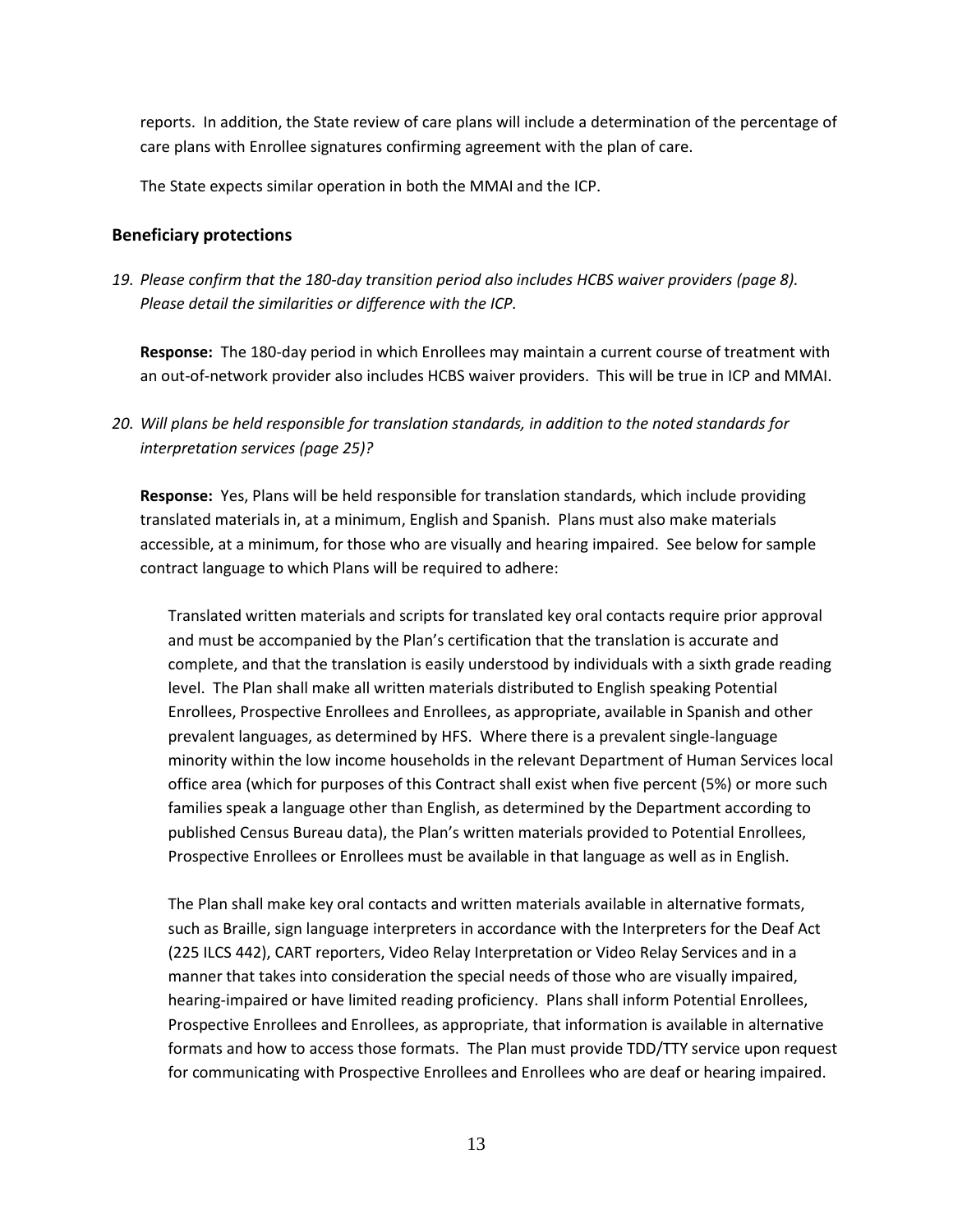reports. In addition, the State review of care plans will include a determination of the percentage of care plans with Enrollee signatures confirming agreement with the plan of care.

The State expects similar operation in both the MMAI and the ICP.

#### **Beneficiary protections**

*19. Please confirm that the 180-day transition period also includes HCBS waiver providers (page 8). Please detail the similarities or difference with the ICP.*

**Response:** The 180-day period in which Enrollees may maintain a current course of treatment with an out-of-network provider also includes HCBS waiver providers. This will be true in ICP and MMAI.

**Response:** Yes, Plans will be held responsible for translation standards, which include providing translated materials in, at a minimum, English and Spanish. Plans must also make materials accessible, at a minimum, for those who are visually and hearing impaired. See below for sample contract language to which Plans will be required to adhere:

Translated written materials and scripts for translated key oral contacts require prior approval and must be accompanied by the Plan's certification that the translation is accurate and complete, and that the translation is easily understood by individuals with a sixth grade reading level. The Plan shall make all written materials distributed to English speaking Potential Enrollees, Prospective Enrollees and Enrollees, as appropriate, available in Spanish and other prevalent languages, as determined by HFS. Where there is a prevalent single-language minority within the low income households in the relevant Department of Human Services local office area (which for purposes of this Contract shall exist when five percent (5%) or more such families speak a language other than English, as determined by the Department according to published Census Bureau data), the Plan's written materials provided to Potential Enrollees, Prospective Enrollees or Enrollees must be available in that language as well as in English.

The Plan shall make key oral contacts and written materials available in alternative formats, such as Braille, sign language interpreters in accordance with the Interpreters for the Deaf Act (225 ILCS 442), CART reporters, Video Relay Interpretation or Video Relay Services and in a manner that takes into consideration the special needs of those who are visually impaired, hearing-impaired or have limited reading proficiency. Plans shall inform Potential Enrollees, Prospective Enrollees and Enrollees, as appropriate, that information is available in alternative formats and how to access those formats. The Plan must provide TDD/TTY service upon request for communicating with Prospective Enrollees and Enrollees who are deaf or hearing impaired.

*<sup>20.</sup> Will plans be held responsible for translation standards, in addition to the noted standards for interpretation services (page 25)?*